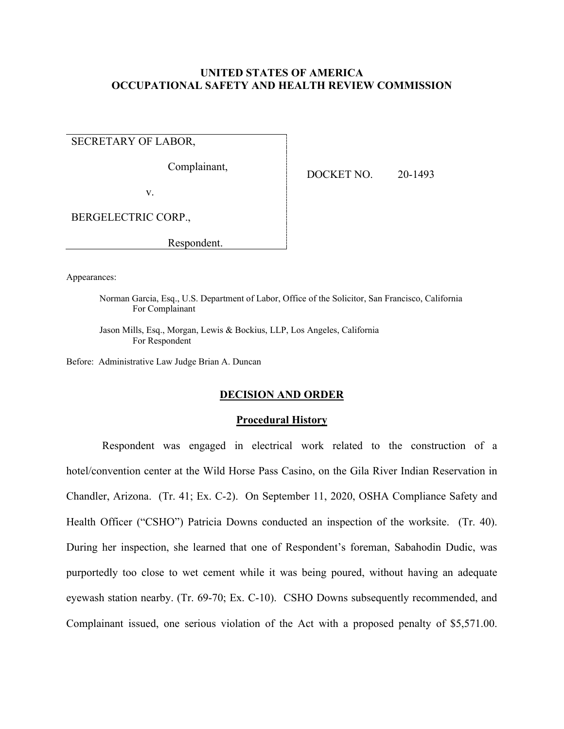## **UNITED STATES OF AMERICA OCCUPATIONAL SAFETY AND HEALTH REVIEW COMMISSION**

SECRETARY OF LABOR,

Complainant,

DOCKET NO. 20-1493

v.

BERGELECTRIC CORP.,

Respondent.

Appearances:

Norman Garcia, Esq., U.S. Department of Labor, Office of the Solicitor, San Francisco, California For Complainant

Jason Mills, Esq., Morgan, Lewis & Bockius, LLP, Los Angeles, California For Respondent

Before: Administrative Law Judge Brian A. Duncan

## **DECISION AND ORDER**

#### **Procedural History**

Respondent was engaged in electrical work related to the construction of a hotel/convention center at the Wild Horse Pass Casino, on the Gila River Indian Reservation in Chandler, Arizona. (Tr. 41; Ex. C-2). On September 11, 2020, OSHA Compliance Safety and Health Officer ("CSHO") Patricia Downs conducted an inspection of the worksite. (Tr. 40). During her inspection, she learned that one of Respondent's foreman, Sabahodin Dudic, was purportedly too close to wet cement while it was being poured, without having an adequate eyewash station nearby. (Tr. 69-70; Ex. C-10). CSHO Downs subsequently recommended, and Complainant issued, one serious violation of the Act with a proposed penalty of \$5,571.00.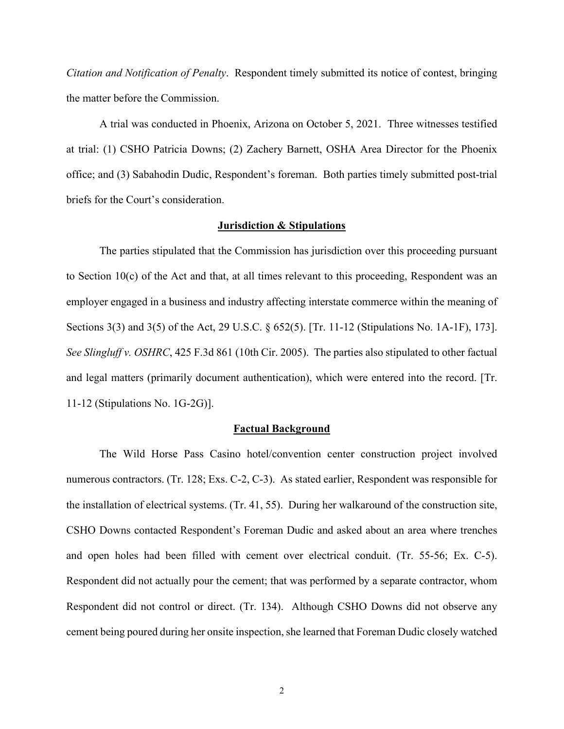*Citation and Notification of Penalty*. Respondent timely submitted its notice of contest, bringing the matter before the Commission.

A trial was conducted in Phoenix, Arizona on October 5, 2021. Three witnesses testified at trial: (1) CSHO Patricia Downs; (2) Zachery Barnett, OSHA Area Director for the Phoenix office; and (3) Sabahodin Dudic, Respondent's foreman. Both parties timely submitted post-trial briefs for the Court's consideration.

#### **Jurisdiction & Stipulations**

The parties stipulated that the Commission has jurisdiction over this proceeding pursuant to Section  $10(c)$  of the Act and that, at all times relevant to this proceeding, Respondent was an employer engaged in a business and industry affecting interstate commerce within the meaning of Sections 3(3) and 3(5) of the Act, 29 U.S.C. § 652(5). [Tr. 11-12 (Stipulations No. 1A-1F), 173]. *See Slingluff v. OSHRC*, 425 F.3d 861 (10th Cir. 2005). The parties also stipulated to other factual and legal matters (primarily document authentication), which were entered into the record. [Tr. 11-12 (Stipulations No. 1G-2G)].

### **Factual Background**

The Wild Horse Pass Casino hotel/convention center construction project involved numerous contractors. (Tr. 128; Exs. C-2, C-3). As stated earlier, Respondent was responsible for the installation of electrical systems. (Tr. 41, 55). During her walkaround of the construction site, CSHO Downs contacted Respondent's Foreman Dudic and asked about an area where trenches and open holes had been filled with cement over electrical conduit. (Tr. 55-56; Ex. C-5). Respondent did not actually pour the cement; that was performed by a separate contractor, whom Respondent did not control or direct. (Tr. 134). Although CSHO Downs did not observe any cement being poured during her onsite inspection, she learned that Foreman Dudic closely watched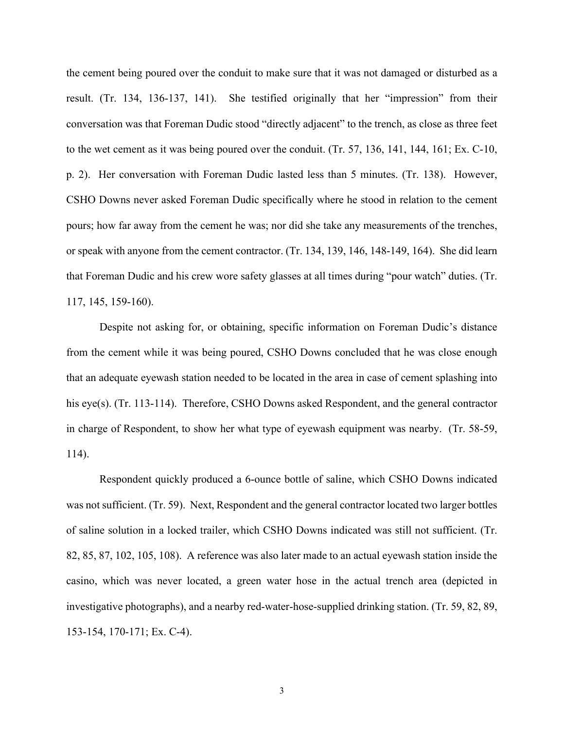the cement being poured over the conduit to make sure that it was not damaged or disturbed as a result. (Tr. 134, 136-137, 141). She testified originally that her "impression" from their conversation was that Foreman Dudic stood "directly adjacent" to the trench, as close as three feet to the wet cement as it was being poured over the conduit. (Tr. 57, 136, 141, 144, 161; Ex. C-10, p. 2). Her conversation with Foreman Dudic lasted less than 5 minutes. (Tr. 138). However, CSHO Downs never asked Foreman Dudic specifically where he stood in relation to the cement pours; how far away from the cement he was; nor did she take any measurements of the trenches, or speak with anyone from the cement contractor. (Tr. 134, 139, 146, 148-149, 164). She did learn that Foreman Dudic and his crew wore safety glasses at all times during "pour watch" duties. (Tr. 117, 145, 159-160).

Despite not asking for, or obtaining, specific information on Foreman Dudic's distance from the cement while it was being poured, CSHO Downs concluded that he was close enough that an adequate eyewash station needed to be located in the area in case of cement splashing into his eye(s). (Tr. 113-114). Therefore, CSHO Downs asked Respondent, and the general contractor in charge of Respondent, to show her what type of eyewash equipment was nearby. (Tr. 58-59, 114).

Respondent quickly produced a 6-ounce bottle of saline, which CSHO Downs indicated was not sufficient. (Tr. 59). Next, Respondent and the general contractor located two larger bottles of saline solution in a locked trailer, which CSHO Downs indicated was still not sufficient. (Tr. 82, 85, 87, 102, 105, 108). A reference was also later made to an actual eyewash station inside the casino, which was never located, a green water hose in the actual trench area (depicted in investigative photographs), and a nearby red-water-hose-supplied drinking station. (Tr. 59, 82, 89, 153-154, 170-171; Ex. C-4).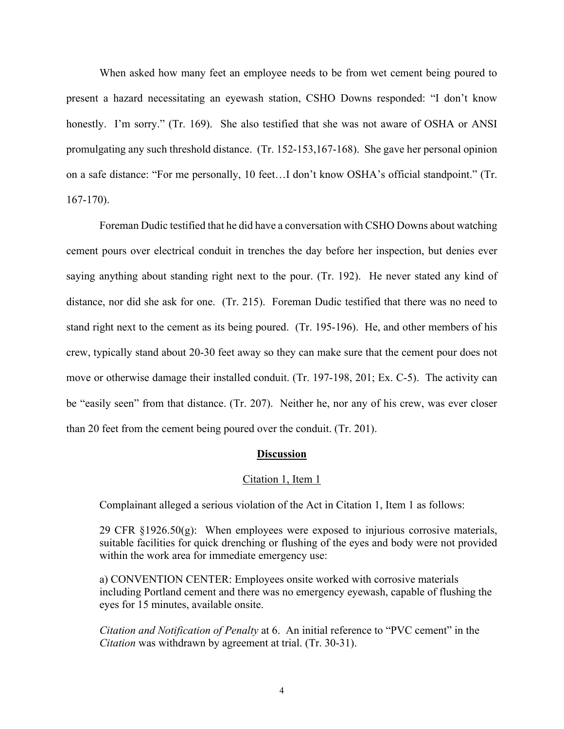When asked how many feet an employee needs to be from wet cement being poured to present a hazard necessitating an eyewash station, CSHO Downs responded: "I don't know honestly. I'm sorry." (Tr. 169). She also testified that she was not aware of OSHA or ANSI promulgating any such threshold distance. (Tr. 152-153,167-168). She gave her personal opinion on a safe distance: "For me personally, 10 feet…I don't know OSHA's official standpoint." (Tr. 167-170).

Foreman Dudic testified that he did have a conversation with CSHO Downs about watching cement pours over electrical conduit in trenches the day before her inspection, but denies ever saying anything about standing right next to the pour. (Tr. 192). He never stated any kind of distance, nor did she ask for one. (Tr. 215). Foreman Dudic testified that there was no need to stand right next to the cement as its being poured. (Tr. 195-196). He, and other members of his crew, typically stand about 20-30 feet away so they can make sure that the cement pour does not move or otherwise damage their installed conduit. (Tr. 197-198, 201; Ex. C-5). The activity can be "easily seen" from that distance. (Tr. 207). Neither he, nor any of his crew, was ever closer than 20 feet from the cement being poured over the conduit. (Tr. 201).

### **Discussion**

#### Citation 1, Item 1

Complainant alleged a serious violation of the Act in Citation 1, Item 1 as follows:

29 CFR  $\S 1926.50(g)$ : When employees were exposed to injurious corrosive materials, suitable facilities for quick drenching or flushing of the eyes and body were not provided within the work area for immediate emergency use:

a) CONVENTION CENTER: Employees onsite worked with corrosive materials including Portland cement and there was no emergency eyewash, capable of flushing the eyes for 15 minutes, available onsite.

*Citation and Notification of Penalty* at 6. An initial reference to "PVC cement" in the *Citation* was withdrawn by agreement at trial. (Tr. 30-31).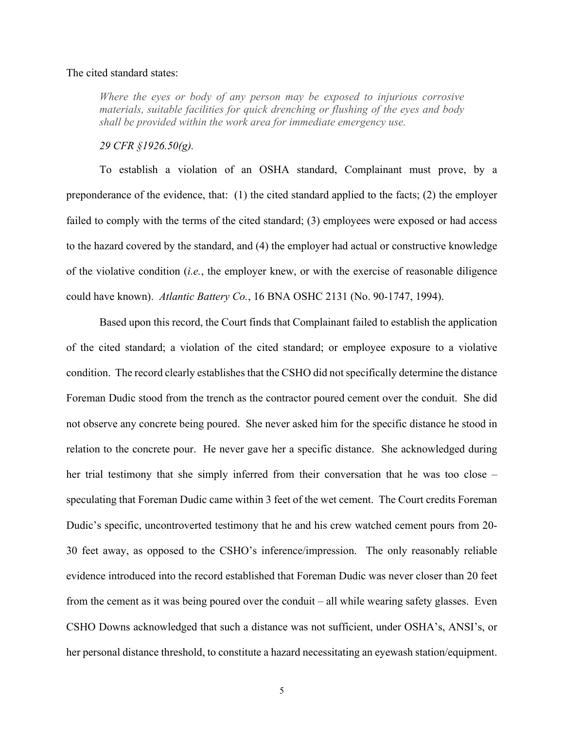## The cited standard states:

*Where the eyes or body of any person may be exposed to injurious corrosive materials, suitable facilities for quick drenching or flushing of the eyes and body shall be provided within the work area for immediate emergency use.*

## *29 CFR §1926.50(g).*

To establish a violation of an OSHA standard, Complainant must prove, by a preponderance of the evidence, that: (1) the cited standard applied to the facts; (2) the employer failed to comply with the terms of the cited standard; (3) employees were exposed or had access to the hazard covered by the standard, and (4) the employer had actual or constructive knowledge of the violative condition (*i.e.*, the employer knew, or with the exercise of reasonable diligence could have known). *Atlantic Battery Co.*, 16 BNA OSHC 2131 (No. 90-1747, 1994).

Based upon this record, the Court finds that Complainant failed to establish the application of the cited standard; a violation of the cited standard; or employee exposure to a violative condition. The record clearly establishes that the CSHO did not specifically determine the distance Foreman Dudic stood from the trench as the contractor poured cement over the conduit. She did not observe any concrete being poured. She never asked him for the specific distance he stood in relation to the concrete pour. He never gave her a specific distance. She acknowledged during her trial testimony that she simply inferred from their conversation that he was too close – speculating that Foreman Dudic came within 3 feet of the wet cement. The Court credits Foreman Dudic's specific, uncontroverted testimony that he and his crew watched cement pours from 20- 30 feet away, as opposed to the CSHO's inference/impression. The only reasonably reliable evidence introduced into the record established that Foreman Dudic was never closer than 20 feet from the cement as it was being poured over the conduit – all while wearing safety glasses. Even CSHO Downs acknowledged that such a distance was not sufficient, under OSHA's, ANSI's, or her personal distance threshold, to constitute a hazard necessitating an eyewash station/equipment.